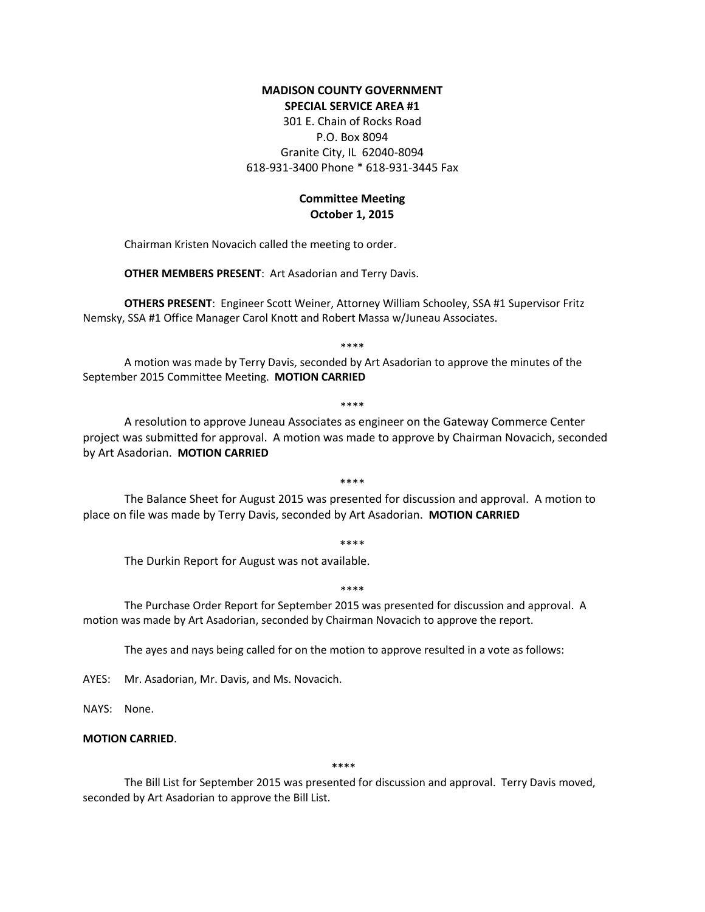# **MADISON COUNTY GOVERNMENT SPECIAL SERVICE AREA #1**

301 E. Chain of Rocks Road P.O. Box 8094 Granite City, IL 62040-8094 618-931-3400 Phone \* 618-931-3445 Fax

# **Committee Meeting October 1, 2015**

Chairman Kristen Novacich called the meeting to order.

**OTHER MEMBERS PRESENT**: Art Asadorian and Terry Davis.

**OTHERS PRESENT**: Engineer Scott Weiner, Attorney William Schooley, SSA #1 Supervisor Fritz Nemsky, SSA #1 Office Manager Carol Knott and Robert Massa w/Juneau Associates.

\*\*\*\*

A motion was made by Terry Davis, seconded by Art Asadorian to approve the minutes of the September 2015 Committee Meeting. **MOTION CARRIED**

#### \*\*\*\*

A resolution to approve Juneau Associates as engineer on the Gateway Commerce Center project was submitted for approval. A motion was made to approve by Chairman Novacich, seconded by Art Asadorian. **MOTION CARRIED**

\*\*\*\*

The Balance Sheet for August 2015 was presented for discussion and approval. A motion to place on file was made by Terry Davis, seconded by Art Asadorian. **MOTION CARRIED**

\*\*\*\*

The Durkin Report for August was not available.

### \*\*\*\*

The Purchase Order Report for September 2015 was presented for discussion and approval. A motion was made by Art Asadorian, seconded by Chairman Novacich to approve the report.

The ayes and nays being called for on the motion to approve resulted in a vote as follows:

AYES: Mr. Asadorian, Mr. Davis, and Ms. Novacich.

NAYS: None.

# **MOTION CARRIED**.

\*\*\*\*

The Bill List for September 2015 was presented for discussion and approval. Terry Davis moved, seconded by Art Asadorian to approve the Bill List.